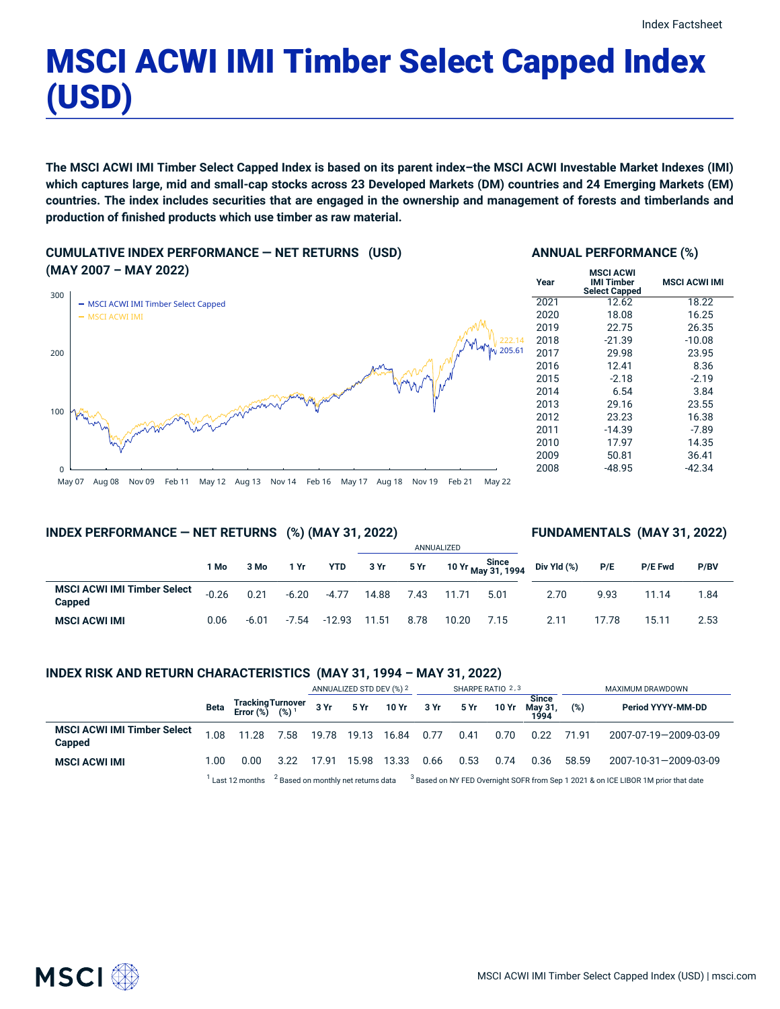# MSCI ACWI IMI Timber Select Capped Index (USD)

The MSCI ACWI IMI Timber Select Capped Index is based on its parent index-the MSCI ACWI Investable Market Indexes (IMI) which captures large, mid and small-cap stocks across 23 Developed Markets (DM) countries and 24 Emerging Markets (EM) countries. The index includes securities that are engaged in the ownership and management of forests and timberlands and **production of finished products which use timber as raw material.**

**CUMULATIVE INDEX PERFORMANCE — NET RETURNS (USD) (MAY 2007 – MAY 2022)**



# **ANNUAL PERFORMANCE (%)**

| Year | <b>MSCI ACWI</b><br>IMI Timber<br><b>Select Capped</b> | <b>MSCI ACWI IMI</b> |  |  |  |  |
|------|--------------------------------------------------------|----------------------|--|--|--|--|
| 2021 | 12.62                                                  | 18.22                |  |  |  |  |
| 2020 | 18.08                                                  | 16.25                |  |  |  |  |
| 2019 | 22.75                                                  | 26.35                |  |  |  |  |
| 2018 | $-21.39$                                               | $-10.08$             |  |  |  |  |
| 2017 | 29.98                                                  | 23.95                |  |  |  |  |
| 2016 | 12.41                                                  | 8.36                 |  |  |  |  |
| 2015 | $-2.18$                                                | $-2.19$              |  |  |  |  |
| 2014 | 6.54                                                   | 3.84                 |  |  |  |  |
| 2013 | 29.16                                                  | 23.55                |  |  |  |  |
| 2012 | 23.23                                                  | 16.38                |  |  |  |  |
| 2011 | $-14.39$                                               | $-7.89$              |  |  |  |  |
| 2010 | 17.97                                                  | 14.35                |  |  |  |  |
| 2009 | 50.81                                                  | 36.41                |  |  |  |  |
| 2008 | -48.95                                                 | -42.34               |  |  |  |  |

May 07 Aug 08 Nov 09 Feb 11 May 12 Aug 13 Nov 14 Feb 16 May 17 Aug 18 Nov 19 Feb 21 May 22

# **INDEX PERFORMANCE — NET RETURNS (%) (MAY 31, 2022)**

# **FUNDAMENTALS (MAY 31, 2022)**

|                                              |         |         |         |          | ANNUALIZED |      |       |      |                                                    |       |                |      |
|----------------------------------------------|---------|---------|---------|----------|------------|------|-------|------|----------------------------------------------------|-------|----------------|------|
|                                              | 1 Mo    | 3 Mo    | 1 Yr    | YTD      | 3 Yr       | 5 Yr |       |      | Since<br>10 Yr <sub>May</sub> 31, 1994 Div Yld (%) | P/E   | <b>P/E Fwd</b> | P/BV |
| <b>MSCI ACWI IMI Timber Select</b><br>Capped | $-0.26$ | 0.21    | $-6.20$ | $-4.77$  | 14.88      | 7.43 | 11.71 | 5.01 | 2.70                                               | 9.93  | 11.14          | 1.84 |
| <b>MSCI ACWI IMI</b>                         | 0.06    | $-6.01$ | $-7.54$ | $-12.93$ | 11.51      | 8.78 | 10.20 | 7.15 | 2.11                                               | 17.78 | 15.11          | 2.53 |

# **INDEX RISK AND RETURN CHARACTERISTICS (MAY 31, 1994 – MAY 31, 2022)**

|                                              |      |                                                 |                                                                                                                            | ANNUALIZED STD DEV (%) 2 |       | SHARPE RATIO 2,3       |      |      |       | MAXIMUM DRAWDOWN                |       |                       |
|----------------------------------------------|------|-------------------------------------------------|----------------------------------------------------------------------------------------------------------------------------|--------------------------|-------|------------------------|------|------|-------|---------------------------------|-------|-----------------------|
|                                              | Beta | Tracking Turnover<br>Error (%) (%) <sup>1</sup> |                                                                                                                            |                          |       | 3 Yr 5 Yr 10 Yr 3 Yr   |      | 5Yr  | 10 Yr | <b>Since</b><br>Mav 31.<br>1994 | (%)   | Period YYYY-MM-DD     |
| <b>MSCI ACWI IMI Timber Select</b><br>Capped | 1.08 | 11.28                                           | 7.58                                                                                                                       |                          |       | 19.78 19.13 16.84 0.77 |      | 0.41 | 0.70  | 0.22                            | 71.91 | 2007-07-19-2009-03-09 |
| <b>MSCI ACWI IMI</b>                         | 1.00 | 0.00                                            | 3.22                                                                                                                       | 17.91                    | 15.98 | 13.33                  | 0.66 | 0.53 | 0.74  | 0.36                            | 58.59 | 2007-10-31-2009-03-09 |
|                                              |      | Last 12 months                                  | $2$ Based on monthly net returns data $3$ Based on NY FED Overnight SOFR from Sep 1 2021 & on ICE LIBOR 1M prior that date |                          |       |                        |      |      |       |                                 |       |                       |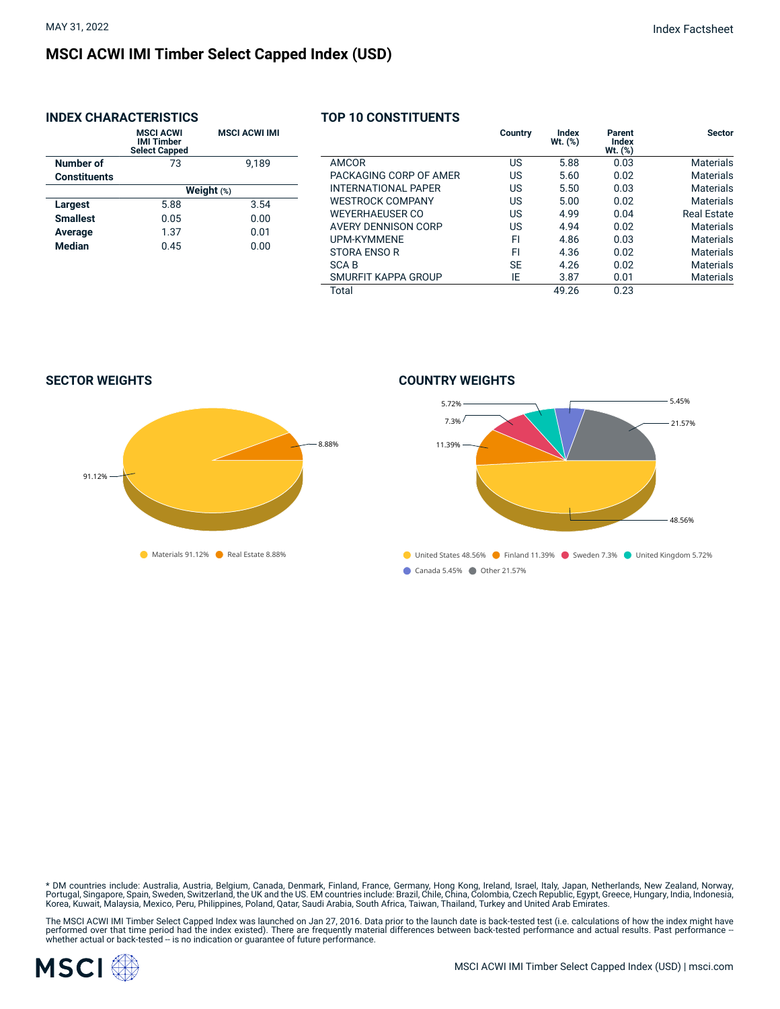# **MSCI ACWI IMI Timber Select Capped Index (USD)**

# **INDEX CHARACTERISTICS**

|                     | <b>MSCI ACWI</b><br><b>IMI Timber</b><br><b>Select Capped</b> | <b>MSCI ACWI IMI</b> |  |  |  |  |  |
|---------------------|---------------------------------------------------------------|----------------------|--|--|--|--|--|
| Number of           | 73                                                            | 9.189                |  |  |  |  |  |
| <b>Constituents</b> |                                                               |                      |  |  |  |  |  |
|                     | Weight $(*)$                                                  |                      |  |  |  |  |  |
| Largest             | 5.88                                                          | 3.54                 |  |  |  |  |  |
| <b>Smallest</b>     | 0.05                                                          | 0.00                 |  |  |  |  |  |
| Average             | 1.37                                                          | 0.01                 |  |  |  |  |  |
| <b>Median</b>       | 0.45                                                          | 0.00                 |  |  |  |  |  |
|                     |                                                               |                      |  |  |  |  |  |

### **TOP 10 CONSTITUENTS**

|                            | Country   | Index<br>Wt. (%) | Parent<br>Index<br>$Wt.$ $(\%)$ | <b>Sector</b>    |
|----------------------------|-----------|------------------|---------------------------------|------------------|
| AMCOR                      | US        | 5.88             | 0.03                            | <b>Materials</b> |
| PACKAGING CORP OF AMER     | US        | 5.60             | 0.02                            | Materials        |
| <b>INTERNATIONAL PAPER</b> | US        | 5.50             | 0.03                            | <b>Materials</b> |
| <b>WESTROCK COMPANY</b>    | US        | 5.00             | 0.02                            | Materials        |
| <b>WEYERHAEUSER CO</b>     | US        | 4.99             | 0.04                            | Real Estate      |
| AVERY DENNISON CORP        | US        | 4.94             | 0.02                            | Materials        |
| <b>UPM-KYMMENE</b>         | FI        | 4.86             | 0.03                            | Materials        |
| STORA ENSO R               | FI        | 4.36             | 0.02                            | <b>Materials</b> |
| <b>SCAB</b>                | <b>SE</b> | 4.26             | 0.02                            | Materials        |
| SMURFIT KAPPA GROUP        | ΙE        | 3.87             | 0.01                            | <b>Materials</b> |
| Total                      |           | 49.26            | 0.23                            |                  |

**SECTOR WEIGHTS**



#### **COUNTRY WEIGHTS**



\* DM countries include: Australia, Austria, Belgium, Canada, Denmark, Finland, France, Germany, Hong Kong, Ireland, Israel, Italy, Japan, Netherlands, New Zealand, Norway,<br>Portugal, Singapore, Spain, Sweden, Switzerland, t

The MSCI ACWI IMI Timber Select Capped Index was launched on Jan 27, 2016. Data prior to the launch date is back-tested test (i.e. calculations of how the index might have<br>performed over that time period had the index exis